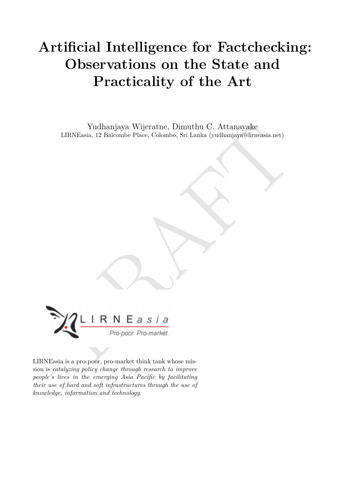# **Artificial Intelligence for Factchecking: Observations on the State and Practicality of the Art**

Yudhanjaya Wijeratne, Dimuthu C. Attanayake LIRNEasia, 12 Balcombe Place, Colombo, Sri Lanka (yudhanjaya@lirneasia.net)



LIRNEasia is a pro-poor, pro-market think tank whose mission is *catalyzing policy change through research to improve people's lives in the emerging Asia Pacific by facilitating their use of hard and soft infrastructures through the use of knowledge, information and technology*.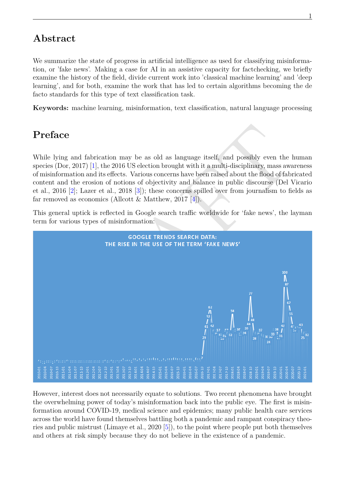### **Abstract**

We summarize the state of progress in artificial intelligence as used for classifying misinformation, or 'fake news'. Making a case for AI in an assistive capacity for factchecking, we briefly examine the history of the field, divide current work into 'classical machine learning' and 'deep learning', and for both, examine the work that has led to certain algorithms becoming the de facto standards for this type of text classification task.

**Keywords:** machine learning, misinformation, text classification, natural language processing

# **Preface**

While lying and fabrication may be as old as language itself, and possibly even the human species (Dor, 2017) [1], the 2016 US election brought with it a multi-disciplinary, mass awareness of misinformation and its effects. Various concerns have been raised about the flood of fabricated content and the erosion of notions of objectivity and balance in public discourse (Del Vicario et al., 2016 [2]; Lazer et al., 2018 [3]); these concerns spilled over from journalism to fields as far removed as economics (Allcott & Matthew, 2017 [4]).

This general uptick is reflected in Google search traffic worldwide for 'fake news', the layman term for various types of misinformation:



However, interest does not necessarily equate to solutions. Two recent phenomena have brought the overwhelming power of today's misinformation back into the public eye. The first is misinformation around COVID-19, medical science and epidemics; many public health care services across the world have found themselves battling both a pandemic and rampant conspiracy theories and public mistrust (Limaye et al., 2020[[5\]](#page-10-4)), to the point where people put both themselves and others at risk simply because they do not believe in the existence of a pandemic.

1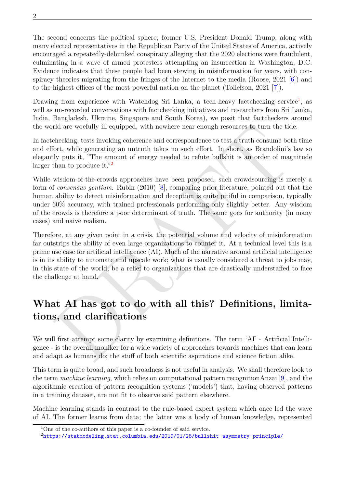The second concerns the political sphere; former U.S. President Donald Trump, along with many elected representatives in the Republican Party of the United States of America, actively encouraged a repeatedly-debunked conspiracy alleging that the 2020 elections were fraudulent, culminating in a wave of armed protesters attempting an insurrection in Washington, D.C. Evidence indicates that these people had been stewing in misinformation for years, with conspiracy theories migrating from the fringes of the Internet to the media (Roose, 2021[[6\]](#page-10-5)) and to the highest offices of the most powerful nation on the planet (Tollefson, 2021 [\[7](#page-10-6)]).

Drawing from experience with Watchdog Sri Lanka, a tech-heavy factchecking service<sup>[1](#page-2-0)</sup>, as well as un-recorded conversations with factchecking initiatives and researchers from Sri Lanka, India, Bangladesh, Ukraine, Singapore and South Korea), we posit that factcheckers around the world are woefully ill-equipped, with nowhere near enough resources to turn the tide.

In factchecking, tests invoking coherence and correspondence to test a truth consume both time and effort, while generating an untruth takes no such effort. In short, as Brandolini's law so elegantly puts it, "The amount of energy needed to refute bullshit is an order of magnitude larger than to produce it."<sup>2</sup>

While wisdom-of-the-crowds approaches have been proposed, such crowdsourcing is merely a form of *consensus gentium*. Rubin (2010) [8], comparing prior literature, pointed out that the human ability to detect misinformation and deception is quite pitiful in comparison, typically under 60% accuracy, with trained professionals performing only slightly better. Any wisdom of the crowds is therefore a poor determinant of truth. The same goes for authority (in many cases) and naive realism.

rd are worfully ill-equipped, with nowhere near enough resources to turn the tide.<br>Checking, tests invoking coherence and correspondence to test a truth consume both time<br>fort, while generating an untruth takes no such ef Therefore, at any given point in a crisis, the potential volume and velocity of misinformation far outstrips the ability of even large organizations to counter it. At a technical level this is a prime use case for artificial intelligence (AI). Much of the narrative around artificial intelligence is in its ability to automate and upscale work; what is usually considered a threat to jobs may, in this state of the world, be a relief to organizations that are drastically understaffed to face the challenge at hand.

# **What AI has got to do with all this? Definitions, limitations, and clarifications**

We will first attempt some clarity by examining definitions. The term 'AI' - Artificial Intelligence - is the overall moniker for a wide variety of approaches towards machines that can learn and adapt as humans do; the stuff of both scientific aspirations and science fiction alike.

This term is quite broad, and such broadness is not useful in analysis. We shall therefore look to the term *machine learning*, which relies on computational pattern recognitionAnzai [[9](#page-10-8)], and the algorithmic creation of pattern recognition systems ('models') that, having observed patterns in a training dataset, are not fit to observe said pattern elsewhere.

Machine learning stands in contrast to the rule-based expert system which once led the wave of AI. The former learns from data; the latter was a body of human knowledge, represented

<span id="page-2-0"></span><sup>&</sup>lt;sup>1</sup>One of the co-authors of this paper is a co-founder of said service.

<span id="page-2-1"></span><sup>2</sup><https://statmodeling.stat.columbia.edu/2019/01/28/bullshit-asymmetry-principle/>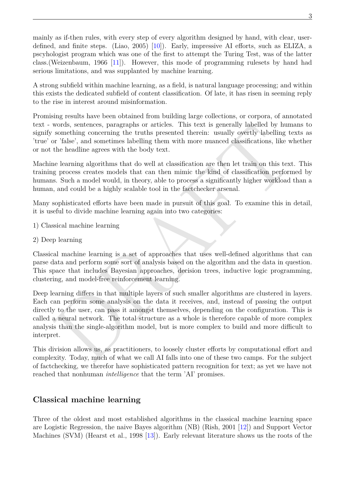mainly as if-then rules, with every step of every algorithm designed by hand, with clear, userdefined, and finite steps. (Liao, 2005) [[10](#page-10-9)]). Early, impressive AI efforts, such as ELIZA, a pscyhologist program which was one of the first to attempt the Turing Test, was of the latter class.(Weizenbaum, 1966 [\[11](#page-10-10)]). However, this mode of programming rulesets by hand had serious limitations, and was supplanted by machine learning.

A strong subfield within machine learning, as a field, is natural language processing; and within this exists the dedicated subfield of content classification. Of late, it has risen in seeming reply to the rise in interest around misinformation.

Promising results have been obtained from building large collections, or corpora, of annotated text - words, sentences, paragraphs or articles. This text is generally labelled by humans to signify something concerning the truths presented therein: usually overtly labelling texts as 'true' or 'false', and sometimes labelling them with more nuanced classifications, like whether or not the headline agrees with the body text.

Machine learning algorithms that do well at classification are then let train on this text. This training process creates models that can then mimic the kind of classification performed by humans. Such a model would, in theory, able to process a significantly higher workload than a human, and could be a highly scalable tool in the factchecker arsenal.

Many sophisticated efforts have been made in pursuit of this goal. To examine this in detail, it is useful to divide machine learning again into two categories:

- 1) Classical machine learning
- 2) Deep learning

Classical machine learning is a set of approaches that uses well-defined algorithms that can parse data and perform some sort of analysis based on the algorithm and the data in question. This space that includes Bayesian approaches, decision trees, inductive logic programming, clustering, and model-free reinforcement learning.

words, sentences, paragraphs or articles. This test is generally labelled by humans to<br>nonething concerning the truths presented therein: usually overtly labelling texts as<br>a ratio of the condition gate and sometimes label Deep learning differs in that multiple layers of such smaller algorithms are clustered in layers. Each can perform some analysis on the data it receives, and, instead of passing the output directly to the user, can pass it amongst themselves, depending on the configuration. This is called a neural network. The total structure as a whole is therefore capable of more complex analysis than the single-algorithm model, but is more complex to build and more difficult to interpret.

This division allows us, as practitioners, to loosely cluster efforts by computational effort and complexity. Today, much of what we call AI falls into one of these two camps. For the subject of factchecking, we therefor have sophisticated pattern recognition for text; as yet we have not reached that nonhuman *intelligence* that the term 'AI' promises.

#### **Classical machine learning**

Three of the oldest and most established algorithms in the classical machine learning space are Logistic Regression, the naive Bayes algorithm (NB) (Rish, 2001 [\[12\]](#page-10-11)) and Support Vector Machines (SVM) (Hearst et al., 1998 [[13](#page-10-12)]). Early relevant literature shows us the roots of the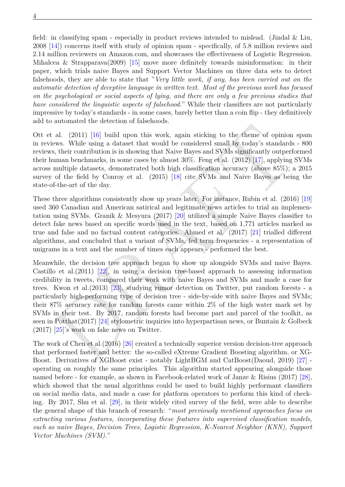field: in classifying spam - especially in product reviews intended to mislead. (Jindal & Liu, 2008 [[14](#page-10-13)]) concerns itself with study of opinion spam - specifically, of 5.8 million reviews and 2.14 million reviewers on Amazon.com, and showcases the effectiveness of Logistic Regression. Mihalcea & Strapparava(2009) [[15](#page-10-14)] move more definitely towards misinformation: in their paper, which trials naive Bayes and Support Vector Machines on three data sets to detect falsehoods, they are able to state that "*Very little work, if any, has been carried out on the automatic detection of deceptive language in written text. Most of the previous work has focused on the psychological or social aspects of lying, and there are only a few previous studies that have considered the linguistic aspects of falsehood.*" While their classifiers are not particularly impressive by today's standards - in some cases, barely better than a coin flip - they definitively add to automated the detection of falsehoods.

Ott et al. (2011) [16] build upon this work, again sticking to the theme of opinion spam in reviews. While using a dataset that would be considered small by today's standards - 800 reviews, their contribution is in showing that Naive Bayes and SVMs significantly outperformed their human benchmarks, in some cases by almost 30%. Feng et al. (2012) [17], applying SVMs across multiple datasets, demonstrated both high classification accuracy (above 85%); a 2015 survey of the field by Conroy et al. (2015) [18] cite SVMs and Naive Bayes as being the state-of-the-art of the day.

These three algorithms consistently show up years later. For instance, Rubin et al. (2016) [[19](#page-11-0)] used 360 Canadian and American satirical and legitimate news articles to trial an implementation using SVMs. Granik & Mesyura (2017) [20] utilized a simple Naive Bayes classifier to detect fake news based on specific words used in the text, based on 1,771 articles marked as true and false and no factual content categories. Ahmed et al. (2017) [21] trialled different algorithms, and concluded that a variant of SVMs, fed term frequencies - a representation of unigrams in a text and the number of times each appears - performed the best.

ala. (2011) [16] build upon this work, again sticking to the theme of opinion span<br>als. (2011) [16] build upon this work, again sticking to the theme of opinion span<br>eves. While using a dataset that would be considered sm Meanwhile, the decision tree approach began to show up alongside SVMs and naive Bayes. Castillo et al.  $(2011)$   $[22]$ , in using a decision tree-based approach to assessing information credibility in tweets, compared their work with naive Bayes and SVMs and made a case for trees. Kwon et al.(2013) [23], studying rumor detection on Twitter, put random forests - a particularly high-performing type of decision tree - side-by-side with naive Bayes and SVMs; their 87% accuracy rate for random forests came within 2% of the high water mark set by SVMs in their test. By 2017, random forests had become part and parcel of the toolkit, as seen in Potthat(2017) [24] stylometric inquiries into hyperpartisan news, or Buntain & Golbeck (2017) [25]'s work on fake news on Twitter.

The work of Chen et al.(2016) [26] created a technically superior version decision-tree approach that performed faster and better: the so-called eXtreme Gradient Boosting algorithm, or XG-Boost. Derivatives of XGBoost exist - notably LightBGM and CatBoost(Daoud, 2019) [\[27](#page-11-8)] operating on roughly the same principles. This algorithm started appearing alongside those named before - for example, as shown in Facebook-related work of Janze & Risius (2017) [\[28](#page-11-9)], which showed that the usual algorithms could be used to build highly performant classifiers on social media data, and made a case for platform operators to perform this kind of checking. By 2017, Shu et al. [[29\]](#page-11-10), in their widely cited survey of the field, were able to describe the general shape of this branch of research: "*most previously mentioned approaches focus on extracting various features, incorporating these features into supervised classification models, such as naive Bayes, Decision Trees, Logistic Regression, K-Nearest Neighbor (KNN), Support Vector Machines (SVM).*"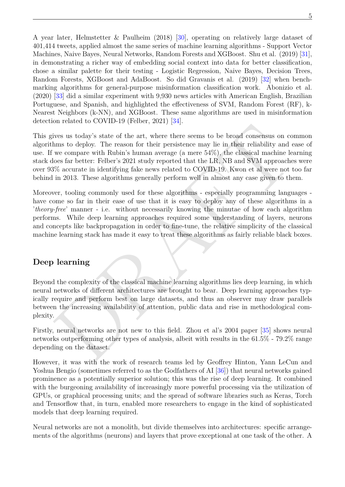A year later, Helmstetter & Paulheim (2018) [[30](#page-11-11)], operating on relatively large dataset of 401,414 tweets, applied almost the same series of machine learning algorithms - Support Vector Machines, Naive Bayes, Neural Networks, Random Forests and XGBoost. Shu et al. (2019) [\[31](#page-11-12)], in demonstrating a richer way of embedding social context into data for better classification, chose a similar palette for their testing - Logistic Regression, Naive Bayes, Decision Trees, Random Forests, XGBoost and AdaBoost. So did Gravanis et al. (2019) [\[32\]](#page-11-13) when benchmarking algorithms for general-purpose misinformation classification work. Abonizio et al. (2020) [\[33\]](#page-11-14) did a similar experiment with 9,930 news articles with American English, Brazilian Portuguese, and Spanish, and highlighted the effectiveness of SVM, Random Forest (RF), k-Nearest Neighbors (k-NN), and XGBoost. These same algorithms are used in misinformation detection related to COVID-19 (Felber, 2021)[[34\]](#page-11-15).

overall with the control of the act, where the rest of the rest of the act, where the rest of the rest compares with Raftard and alternative and the compare with Rubin's human average (a mere 54%), the classical machine l This gives us today's state of the art, where there seems to be broad consensus on common algorithms to deploy. The reason for their persistence may lie in their reliability and ease of use. If we compare with Rubin's human average (a mere 54%), the classical machine learning stack does far better: Felber's 2021 study reported that the LR, NB and SVM approaches were over 93% accurate in identifying fake news related to COVID-19. Kwon et al were not too far behind in 2013. These algorithms generally perform well in almost any case given to them.

Moreover, tooling commonly used for these algorithms - especially programming languages have come so far in their ease of use that it is easy to deploy any of these algorithms in a '*theory-free*' manner - i.e. without necessarily knowing the minutae of how each algorithm performs. While deep learning approaches required some understanding of layers, neurons and concepts like backpropagation in order to fine-tune, the relative simplicity of the classical machine learning stack has made it easy to treat these algorithms as fairly reliable black boxes.

#### **Deep learning**

Beyond the complexity of the classical machine learning algorithms lies deep learning, in which neural networks of different architectures are brought to bear. Deep learning approaches typically require and perform best on large datasets, and thus an observer may draw parallels between the increasing availability of attention, public data and rise in methodological complexity.

Firstly, neural networks are not new to this field. Zhou et al's 2004 paper [35] shows neural networks outperforming other types of analysis, albeit with results in the 61.5% - 79.2% range depending on the dataset.

However, it was with the work of research teams led by Geoffrey Hinton, Yann LeCun and Yoshua Bengio (sometimes referred to as the Godfathers of AI [\[36\]](#page-11-17)) that neural networks gained prominence as a potentially superior solution; this was the rise of deep learning. It combined with the burgeoning availability of increasingly more powerful processing via the utilization of GPUs, or graphical processing units; and the spread of software libraries such as Keras, Torch and Tensorflow that, in turn, enabled more researchers to engage in the kind of sophisticated models that deep learning required.

Neural networks are not a monolith, but divide themselves into architectures: specific arrangements of the algorithms (neurons) and layers that prove exceptional at one task of the other. A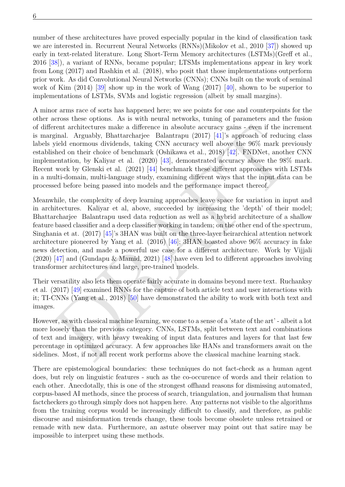6

number of these architectures have proved especially popular in the kind of classification task we are interested in. Recurrent Neural Networks (RNNs)(Mikolov et al., 2010 [[37\]](#page-12-0)) showed up early in text-related literature. Long Short-Term Memory architectures (LSTMs)(Greff et al., 2016 [[38\]](#page-12-1)), a variant of RNNs, became popular; LTSMs implementations appear in key work from Long (2017) and Rashkin et al. (2018), who posit that those implementations outperform prior work. As did Convolutional Neural Networks (CNNs); CNNs built on the work of seminal work of Kim  $(2014)$  [\[39\]](#page-12-2) show up in the work of Wang  $(2017)$  [\[40\]](#page-12-3), shown to be superior to implementations of LSTMs, SVMs and logistic regression (albeit by small margins).

A minor arms race of sorts has happened here; we see points for one and counterpoints for the other across these options. As is with neural networks, tuning of parameters and the fusion of different architectures make a difference in absolute accuracy gains - even if the increment is marginal. Arguably, Bhattarcharjee Balantrapu (2017) [41]'s approach of reducing class labels yield enormous dividends, taking CNN accuracy well above the 96% mark previously established on their choice of benchmark (Oshikawa et al., 2018) [42]. FNDNet, another CNN implementation, by Kaliyar et al. (2020) [43], demonstrated accuracy above the 98% mark. Recent work by Glenski et al. (2021) [44] benchmark these different approaches with LSTMs in a multi-domain, multi-language study, examining different ways that the input data can be processed before being passed into models and the performance impact thereof.

rent architectures make a difference in absolute accuracy gains - even if the increment<br>ginal. Arguably, Bhattarcharjec Balantrapu (2017) [41] sapproach of reducing class<br>pishel enormous dividends, taking CNN accuracy wel Meanwhile, the complexity of deep learning approaches leave space for variation in input and in architectures. Kaliyar et al, above, succeeded by increasing the 'depth' of their model; Bhattarcharjee Balantrapu used data reduction as well as a hybrid architecture of a shallow feature based classifier and a deep classifier working in tandem; on the other end of the spectrum, Singhania et at. (2017) [45]'s 3HAN was built on the three-layer heirarchical attention network architecture pioneered by Yang et al. (2016) [46]; 3HAN boasted above 96% accuracy in fake news detection, and made a powerful use case for a different architecture. Work by Vijjali (2020) [47] and (Gundapu & Mamid, 2021) [48] have even led to different approaches involving transformer architectures and large, pre-trained models.

Their versatility also lets them operate fairly accurate in domains beyond mere text. Ruchanksy et al. (2017) [49] examined RNNs for the capture of both article text and user interactions with it; TI-CNNs (Yang et al., 2018) [50] have demonstrated the ability to work with both text and images.

However, as with classical machine learning, we come to a sense of a 'state of the art' - albeit a lot more loosely than the previous category. CNNs, LSTMs, split between text and combinations of text and imagery, with heavy tweaking of input data features and layers for that last few percentage in optimized accuracy. A few approaches like HANs and transformers await on the sidelines. Most, if not all recent work performs above the classical machine learning stack.

There are epistemological boundaries: these techniques do not fact-check as a human agent does, but rely on linguistic features - such as the co-occurence of words and their relation to each other. Anecdotally, this is one of the strongest offhand reasons for dismissing automated, corpus-based AI methods, since the process of search, triangulation, and journalism that human factcheckers go through simply does not happen here. Any patterns not visible to the algorithms from the training corpus would be increasingly difficult to classify, and therefore, as public discourse and misinformation trends change, these tools become obsolete unless retrained or remade with new data. Furthermore, an astute observer may point out that satire may be impossible to interpret using these methods.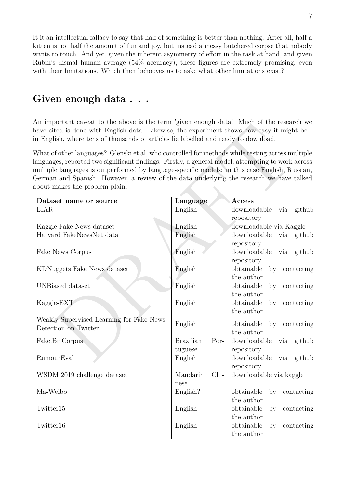It it an intellectual fallacy to say that half of something is better than nothing. After all, half a kitten is not half the amount of fun and joy, but instead a messy butchered corpse that nobody wants to touch. And yet, given the inherent asymmetry of effort in the task at hand, and given Rubin's dismal human average (54% accuracy), these figures are extremely promising, even with their limitations. Which then behooves us to ask: what other limitations exist?

## **Given enough data . . .**

An important caveat to the above is the term 'given enough data'. Much of the research we have cited is done with English data. Likewise, the experiment shows how easy it might be in English, where tens of thousands of articles lie labelled and ready to download.

| All important caveal to the above is the term given enough uata. Much or the research we<br>have cited is done with English data. Likewise, the experiment shows how easy it might be -<br>in English, where tens of thousands of articles lie labelled and ready to download.                                                                                                                                                        |                                     |                                                                   |  |
|---------------------------------------------------------------------------------------------------------------------------------------------------------------------------------------------------------------------------------------------------------------------------------------------------------------------------------------------------------------------------------------------------------------------------------------|-------------------------------------|-------------------------------------------------------------------|--|
| What of other languages? Glenski et al, who controlled for methods while testing across multiple<br>languages, reported two significant findings. Firstly, a general model, attempting to work across<br>multiple languages is outperformed by language-specific models: in this case English, Russian,<br>German and Spanish. However, a review of the data underlying the research we have talked<br>about makes the problem plain: |                                     |                                                                   |  |
| Dataset name or source                                                                                                                                                                                                                                                                                                                                                                                                                | Language                            | <b>Access</b>                                                     |  |
| <b>LIAR</b>                                                                                                                                                                                                                                                                                                                                                                                                                           | English                             | downloadable<br>github<br>via<br>repository                       |  |
| Kaggle Fake News dataset                                                                                                                                                                                                                                                                                                                                                                                                              | English                             | downloadable via Kaggle                                           |  |
| Harvard FakeNewsNet data                                                                                                                                                                                                                                                                                                                                                                                                              | English                             | downloadable<br>github<br>via<br>repository                       |  |
| Fake News Corpus                                                                                                                                                                                                                                                                                                                                                                                                                      | English                             | downloadable<br>github<br>via<br>repository                       |  |
| <b>KDNuggets Fake News dataset</b>                                                                                                                                                                                                                                                                                                                                                                                                    | English                             | obtainable<br>contacting<br>by<br>the author                      |  |
| <b>UNBiased</b> dataset                                                                                                                                                                                                                                                                                                                                                                                                               | English                             | obtainable<br>by<br>contacting<br>the author                      |  |
| Kaggle-EXT                                                                                                                                                                                                                                                                                                                                                                                                                            | English                             | obtainable<br>contacting<br>by<br>the author                      |  |
| Weakly Supervised Learning for Fake News<br>Detection on Twitter                                                                                                                                                                                                                                                                                                                                                                      | English                             | obtainable<br>by<br>contacting<br>the author                      |  |
| Fake.Br Corpus                                                                                                                                                                                                                                                                                                                                                                                                                        | <b>Brazilian</b><br>Por-<br>tuguese | downloadable<br>github<br>via<br>repository                       |  |
| <b>RumourEval</b>                                                                                                                                                                                                                                                                                                                                                                                                                     | English                             | downloadable<br>github<br>via<br>repository                       |  |
| WSDM 2019 challenge dataset                                                                                                                                                                                                                                                                                                                                                                                                           | Mandarin<br>Chi-<br>nese            | downloadable via kaggle                                           |  |
| Ma-Weibo                                                                                                                                                                                                                                                                                                                                                                                                                              | English?                            | obtainable<br>contacting<br>$\mathbf{b} \mathbf{v}$<br>the author |  |
| Twitter15                                                                                                                                                                                                                                                                                                                                                                                                                             | English                             | obtainable<br>contacting<br>by<br>the author                      |  |
| Twitter16                                                                                                                                                                                                                                                                                                                                                                                                                             | English                             | obtainable<br>contacting<br>by<br>the author                      |  |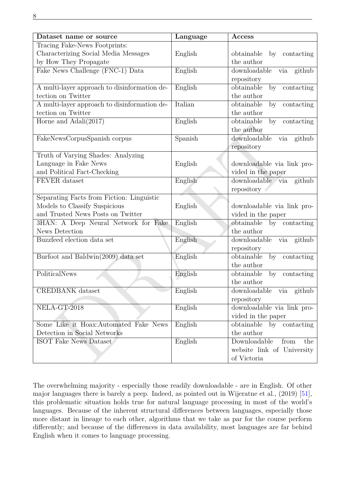| Dataset name or source                       | Language | Access                         |
|----------------------------------------------|----------|--------------------------------|
| Tracing Fake-News Footprints:                |          |                                |
| Characterizing Social Media Messages         | English  | obtainable<br>by contacting    |
| by How They Propagate                        |          | the author                     |
| Fake News Challenge (FNC-1) Data             | English  | downloadable via github        |
|                                              |          | repository                     |
| A multi-layer approach to disinformation de- | English  | obtainable<br>by<br>contacting |
| tection on Twitter                           |          | the author                     |
| A multi-layer approach to disinformation de- | Italian  | obtainable<br>contacting<br>by |
| tection on Twitter                           |          | the author                     |
| Horne and $\text{Adali}(2017)$               | English  | obtainable<br>by<br>contacting |
|                                              |          | the author                     |
| FakeNewsCorpusSpanish corpus                 | Spanish  | downloadable via<br>github     |
|                                              |          | repository                     |
| Truth of Varying Shades: Analyzing           |          |                                |
| Language in Fake News                        | English  | downloadable via link pro-     |
| and Political Fact-Checking                  |          | vided in the paper             |
| <b>FEVER</b> dataset                         | English  | downloadable via<br>github     |
|                                              |          | repository                     |
| Separating Facts from Fiction: Linguistic    |          |                                |
| Models to Classify Suspicious                | English  | downloadable via link pro-     |
| and Trusted News Posts on Twitter            |          | vided in the paper             |
| 3HAN: A Deep Neural Network for Fake         | English  | obtainable<br>by contacting    |
| News Detection                               |          | the author                     |
| Buzzfeed election data set                   | English  | downloadable<br>github<br>via  |
|                                              |          | repository                     |
| Burfoot and Baldwin(2009) data set           | English  | obtainable<br>contacting<br>by |
|                                              |          | the author                     |
| PoliticalNews                                | English  | obtainable<br>by<br>contacting |
|                                              |          | the author                     |
| <b>CREDBANK</b> dataset                      | English  | downloadable via github        |
|                                              |          | repository                     |
| NELA-GT-2018                                 | English  | downloadable via link pro-     |
|                                              |          | vided in the paper             |
| Some Like it Hoax: Automated Fake News       | English  | by<br>obtainable<br>contacting |
| Detection in Social Networks                 |          | the author                     |
| <b>ISOT Fake News Dataset</b>                | English  | Downloadable<br>from<br>the    |
|                                              |          | website link of University     |
|                                              |          | of Victoria                    |

The overwhelming majority - especially those readily downloadable - are in English. Of other major languages there is barely a peep. Indeed, as pointed out in Wijeratne et al., (2019) [\[51](#page-12-14)], this problematic situation holds true for natural language processing in most of the world's languages. Because of the inherent structural differences between languages, especially those more distant in lineage to each other, algorithms that we take as par for the course perform differently; and because of the differences in data availability, most languages are far behind English when it comes to language processing.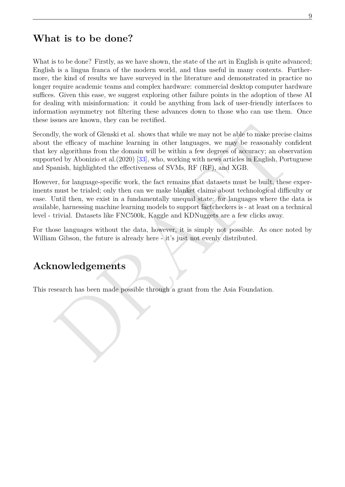### **What is to be done?**

What is to be done? Firstly, as we have shown, the state of the art in English is quite advanced; English is a lingua franca of the modern world, and thus useful in many contexts. Furthermore, the kind of results we have surveyed in the literature and demonstrated in practice no longer require academic teams and complex hardware: commercial desktop computer hardware suffices. Given this ease, we suggest exploring other failure points in the adoption of these AI for dealing with misinformation: it could be anything from lack of user-friendly interfaces to information asymmetry not filtering these advances down to those who can use them. Once these issues are known, they can be rectified.

Hy, the work of Glenski et al. shows that while we may not be able to make precise claims<br>the efficacy of machine learning in other languages, we may be reasonably confident<br>the efficacy of machine learning in other langu Secondly, the work of Glenski et al. shows that while we may not be able to make precise claims about the efficacy of machine learning in other languages, we may be reasonably confident that key algorithms from the domain will be within a few degrees of accuracy; an observation supported by Abonizio et al.(2020) [33], who, working with news articles in English, Portuguese and Spanish, highlighted the effectiveness of SVMs, RF (RF), and XGB.

However, for language-specific work, the fact remains that datasets must be built, these experiments must be trialed; only then can we make blanket claims about technological difficulty or ease. Until then, we exist in a fundamentally unequal state: for languages where the data is available, harnessing machine learning models to support factcheckers is - at least on a technical level - trivial. Datasets like FNC500k, Kaggle and KDNuggets are a few clicks away.

For those languages without the data, however, it is simply not possible. As once noted by William Gibson, the future is already here - it's just not evenly distributed.

### **Acknowledgements**

This research has been made possible through a grant from the Asia Foundation.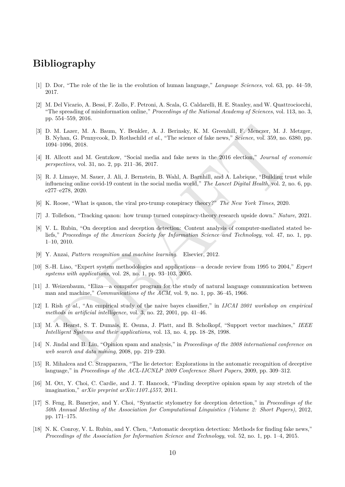### **Bibliography**

- <span id="page-10-0"></span>[1] D. Dor, "The role of the lie in the evolution of human language," *Language Sciences*, vol. 63, pp. 44–59, 2017.
- <span id="page-10-1"></span>[2] M. Del Vicario, A. Bessi, F. Zollo, F. Petroni, A. Scala, G. Caldarelli, H. E. Stanley, and W. Quattrociocchi, "The spreading of misinformation online," *Proceedings of the National Academy of Sciences*, vol. 113, no. 3, pp. 554–559, 2016.
- <span id="page-10-2"></span>[3] D. M. Lazer, M. A. Baum, Y. Benkler, A. J. Berinsky, K. M. Greenhill, F. Menczer, M. J. Metzger, B. Nyhan, G. Pennycook, D. Rothschild *et al.*, "The science of fake news," *Science*, vol. 359, no. 6380, pp. 1094–1096, 2018.
- <span id="page-10-3"></span>[4] H. Allcott and M. Gentzkow, "Social media and fake news in the 2016 election," *Journal of economic perspectives*, vol. 31, no. 2, pp. 211–36, 2017.
- <span id="page-10-4"></span>[5] R. J. Limaye, M. Sauer, J. Ali, J. Bernstein, B. Wahl, A. Barnhill, and A. Labrique, "Building trust while influencing online covid-19 content in the social media world," *The Lancet Digital Health*, vol. 2, no. 6, pp. e277–e278, 2020.
- <span id="page-10-5"></span>[6] K. Roose, "What is qanon, the viral pro-trump conspiracy theory?" *The New York Times*, 2020.
- <span id="page-10-7"></span><span id="page-10-6"></span>[7] J. Tollefson, "Tracking qanon: how trump turned conspiracy-theory research upside down." *Nature*, 2021.
- M. Lazer, M. A. Baum, Y. Benkler, A. J. Berinsky, K. M. Greenhill, F. Menezer, M. J. Metzger, M. J. Metzger, A. J. Senach, D. Rubschild et al., "The science of fake news," Seience, vol. 359, no. 6380, pp.<br>24-1096, 2018.<br>2 [8] V. L. Rubin, "On deception and deception detection: Content analysis of computer-mediated stated beliefs," *Proceedings of the American Society for Information Science and Technology*, vol. 47, no. 1, pp. 1–10, 2010.
- <span id="page-10-8"></span>[9] Y. Anzai, *Pattern recognition and machine learning*. Elsevier, 2012.
- <span id="page-10-9"></span>[10] S.-H. Liao, "Expert system methodologies and applications—a decade review from 1995 to 2004," *Expert systems with applications*, vol. 28, no. 1, pp. 93–103, 2005.
- <span id="page-10-10"></span>[11] J. Weizenbaum, "Eliza—a computer program for the study of natural language communication between man and machine," *Communications of the ACM*, vol. 9, no. 1, pp. 36–45, 1966.
- <span id="page-10-11"></span>[12] I. Rish *et al.*, "An empirical study of the naive bayes classifier," in *IJCAI 2001 workshop on empirical methods in artificial intelligence*, vol. 3, no. 22, 2001, pp. 41–46.
- <span id="page-10-12"></span>[13] M. A. Hearst, S. T. Dumais, E. Osuna, J. Platt, and B. Scholkopf, "Support vector machines," *IEEE Intelligent Systems and their applications*, vol. 13, no. 4, pp. 18–28, 1998.
- <span id="page-10-13"></span>[14] N. Jindal and B. Liu, "Opinion spam and analysis," in *Proceedings of the 2008 international conference on web search and data mining*, 2008, pp. 219–230.
- <span id="page-10-14"></span>[15] R. Mihalcea and C. Strapparava, "The lie detector: Explorations in the automatic recognition of deceptive language," in *Proceedings of the ACL-IJCNLP 2009 Conference Short Papers*, 2009, pp. 309–312.
- <span id="page-10-15"></span>[16] M. Ott, Y. Choi, C. Cardie, and J. T. Hancock, "Finding deceptive opinion spam by any stretch of the imagination," *arXiv preprint arXiv:1107.4557*, 2011.
- <span id="page-10-16"></span>[17] S. Feng, R. Banerjee, and Y. Choi, "Syntactic stylometry for deception detection," in *Proceedings of the 50th Annual Meeting of the Association for Computational Linguistics (Volume 2: Short Papers)*, 2012, pp. 171–175.
- <span id="page-10-17"></span>[18] N. K. Conroy, V. L. Rubin, and Y. Chen, "Automatic deception detection: Methods for finding fake news," *Proceedings of the Association for Information Science and Technology*, vol. 52, no. 1, pp. 1–4, 2015.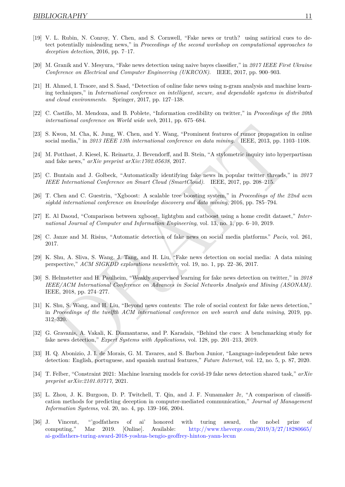- <span id="page-11-0"></span>[19] V. L. Rubin, N. Conroy, Y. Chen, and S. Cornwell, "Fake news or truth? using satirical cues to detect potentially misleading news," in *Proceedings of the second workshop on computational approaches to deception detection*, 2016, pp. 7–17.
- <span id="page-11-1"></span>[20] M. Granik and V. Mesyura, "Fake news detection using naive bayes classifier," in *2017 IEEE First Ukraine Conference on Electrical and Computer Engineering (UKRCON)*. IEEE, 2017, pp. 900–903.
- <span id="page-11-2"></span>[21] H. Ahmed, I. Traore, and S. Saad, "Detection of online fake news using n-gram analysis and machine learning techniques," in *International conference on intelligent, secure, and dependable systems in distributed and cloud environments*. Springer, 2017, pp. 127–138.
- <span id="page-11-3"></span>[22] C. Castillo, M. Mendoza, and B. Poblete, "Information credibility on twitter," in *Proceedings of the 20th international conference on World wide web*, 2011, pp. 675–684.
- <span id="page-11-4"></span>[23] S. Kwon, M. Cha, K. Jung, W. Chen, and Y. Wang, "Prominent features of rumor propagation in online social media," in *2013 IEEE 13th international conference on data mining*. IEEE, 2013, pp. 1103–1108.
- <span id="page-11-5"></span>[24] M. Potthast, J. Kiesel, K. Reinartz, J. Bevendorff, and B. Stein, "A stylometric inquiry into hyperpartisan and fake news," *arXiv preprint arXiv:1702.05638*, 2017.
- <span id="page-11-6"></span>[25] C. Buntain and J. Golbeck, "Automatically identifying fake news in popular twitter threads," in *2017 IEEE International Conference on Smart Cloud (SmartCloud)*. IEEE, 2017, pp. 208–215.
- <span id="page-11-7"></span>[26] T. Chen and C. Guestrin, "Xgboost: A scalable tree boosting system," in *Proceedings of the 22nd acm sigkdd international conference on knowledge discovery and data mining*, 2016, pp. 785–794.
- <span id="page-11-8"></span>[27] E. Al Daoud, "Comparison between xgboost, lightgbm and catboost using a home credit dataset," *International Journal of Computer and Information Engineering*, vol. 13, no. 1, pp. 6–10, 2019.
- <span id="page-11-9"></span>[28] C. Janze and M. Risius, "Automatic detection of fake news on social media platforms." *Pacis*, vol. 261, 2017.
- <span id="page-11-11"></span><span id="page-11-10"></span>[29] K. Shu, A. Sliva, S. Wang, J. Tang, and H. Liu, "Fake news detection on social media: A data mining perspective," *ACM SIGKDD explorations newsletter*, vol. 19, no. 1, pp. 22–36, 2017.
- Kwon, M. Cha, K. Jung, W. Chen, and Y. Wang, "Prominent features of rumor propagation in online<br>ial media," in 2013 LEEE 13th international conference on data mining. IEEE, 2013, pp. 1103–1108.<br>Perthast, J. Kiesel, K. Rei [30] S. Helmstetter and H. Paulheim, "Weakly supervised learning for fake news detection on twitter," in *2018 IEEE/ACM International Conference on Advances in Social Networks Analysis and Mining (ASONAM)*. IEEE, 2018, pp. 274–277.
- <span id="page-11-12"></span>[31] K. Shu, S. Wang, and H. Liu, "Beyond news contents: The role of social context for fake news detection," in *Proceedings of the twelfth ACM international conference on web search and data mining*, 2019, pp. 312–320.
- <span id="page-11-13"></span>[32] G. Gravanis, A. Vakali, K. Diamantaras, and P. Karadais, "Behind the cues: A benchmarking study for fake news detection," *Expert Systems with Applications*, vol. 128, pp. 201–213, 2019.
- <span id="page-11-14"></span>[33] H. Q. Abonizio, J. I. de Morais, G. M. Tavares, and S. Barbon Junior, "Language-independent fake news detection: English, portuguese, and spanish mutual features," *Future Internet*, vol. 12, no. 5, p. 87, 2020.
- <span id="page-11-15"></span>[34] T. Felber, "Constraint 2021: Machine learning models for covid-19 fake news detection shared task," *arXiv preprint arXiv:2101.03717*, 2021.
- <span id="page-11-16"></span>[35] L. Zhou, J. K. Burgoon, D. P. Twitchell, T. Qin, and J. F. Nunamaker Jr, "A comparison of classification methods for predicting deception in computer-mediated communication," *Journal of Management Information Systems*, vol. 20, no. 4, pp. 139–166, 2004.
- <span id="page-11-17"></span>[36] J. Vincent, "'godfathers of ai' honored with turing award, the nobel prize of computing," Mar 2019. [Online]. Available: [http://www.theverge.com/2019/3/27/18280665/](http://www.theverge.com/2019/3/27/18280665/ai-godfathers-turing-award-2018-yoshua-bengio-geoffrey-hinton-yann-lecun) [ai-godfathers-turing-award-2018-yoshua-bengio-geoffrey-hinton-yann-lecun](http://www.theverge.com/2019/3/27/18280665/ai-godfathers-turing-award-2018-yoshua-bengio-geoffrey-hinton-yann-lecun)